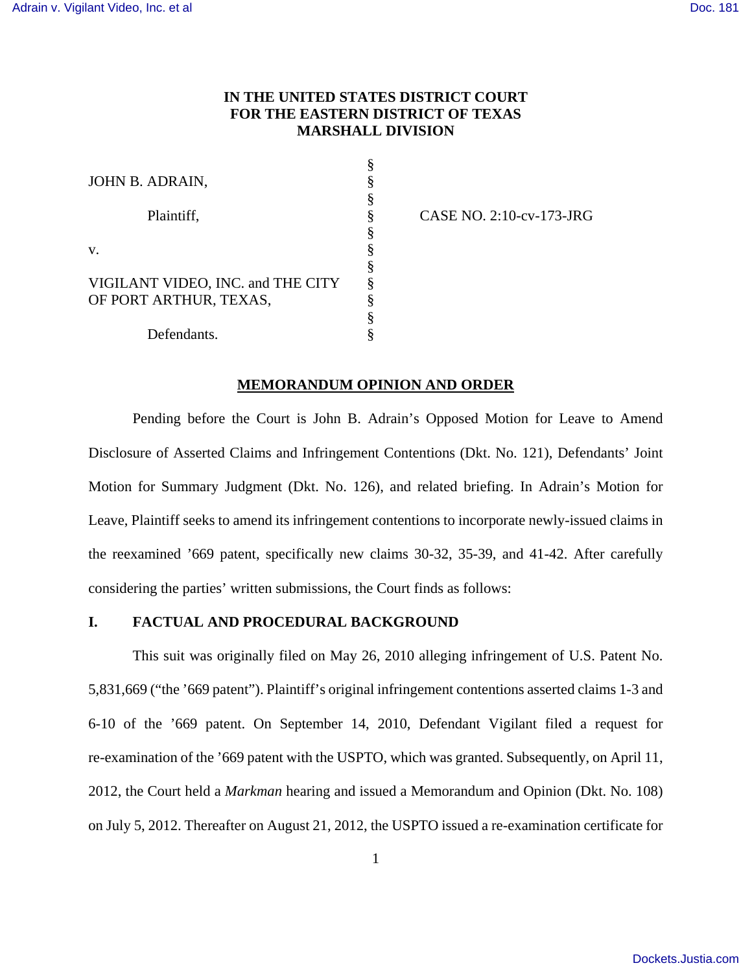# **IN THE UNITED STATES DISTRICT COURT FOR THE EASTERN DISTRICT OF TEXAS MARSHALL DIVISION**

§

| JOHN B. ADRAIN,                   |   |
|-----------------------------------|---|
|                                   |   |
| Plaintiff,                        |   |
|                                   |   |
| V.                                |   |
|                                   |   |
| VIGILANT VIDEO, INC. and THE CITY |   |
| OF PORT ARTHUR, TEXAS,            | 8 |
|                                   |   |
| Defendants.                       |   |

CASE NO. 2:10-cv-173-JRG

### **MEMORANDUM OPINION AND ORDER**

Pending before the Court is John B. Adrain's Opposed Motion for Leave to Amend Disclosure of Asserted Claims and Infringement Contentions (Dkt. No. 121), Defendants' Joint Motion for Summary Judgment (Dkt. No. 126), and related briefing. In Adrain's Motion for Leave, Plaintiff seeks to amend its infringement contentions to incorporate newly-issued claims in the reexamined '669 patent, specifically new claims 30-32, 35-39, and 41-42. After carefully considering the parties' written submissions, the Court finds as follows:

## **I. FACTUAL AND PROCEDURAL BACKGROUND**

This suit was originally filed on May 26, 2010 alleging infringement of U.S. Patent No. 5,831,669 ("the '669 patent"). Plaintiff's original infringement contentions asserted claims 1-3 and 6-10 of the '669 patent. On September 14, 2010, Defendant Vigilant filed a request for re-examination of the '669 patent with the USPTO, which was granted. Subsequently, on April 11, 2012, the Court held a *Markman* hearing and issued a Memorandum and Opinion (Dkt. No. 108) on July 5, 2012. Thereafter on August 21, 2012, the USPTO issued a re-examination certificate for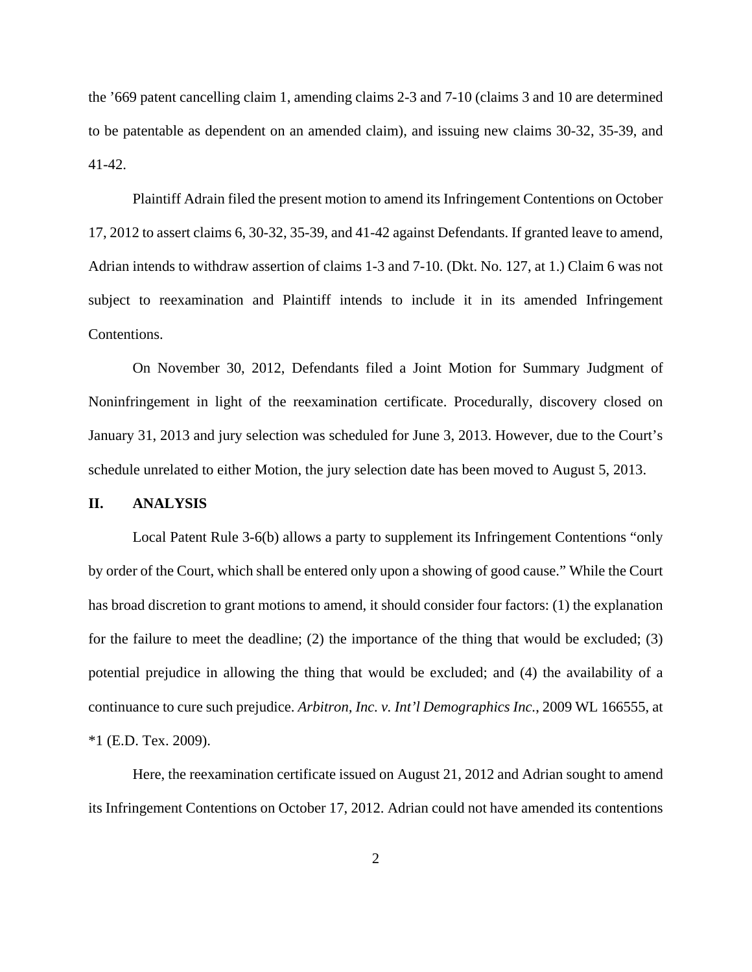the '669 patent cancelling claim 1, amending claims 2-3 and 7-10 (claims 3 and 10 are determined to be patentable as dependent on an amended claim), and issuing new claims 30-32, 35-39, and 41-42.

Plaintiff Adrain filed the present motion to amend its Infringement Contentions on October 17, 2012 to assert claims 6, 30-32, 35-39, and 41-42 against Defendants. If granted leave to amend, Adrian intends to withdraw assertion of claims 1-3 and 7-10. (Dkt. No. 127, at 1.) Claim 6 was not subject to reexamination and Plaintiff intends to include it in its amended Infringement Contentions.

On November 30, 2012, Defendants filed a Joint Motion for Summary Judgment of Noninfringement in light of the reexamination certificate. Procedurally, discovery closed on January 31, 2013 and jury selection was scheduled for June 3, 2013. However, due to the Court's schedule unrelated to either Motion, the jury selection date has been moved to August 5, 2013.

#### **II. ANALYSIS**

Local Patent Rule 3-6(b) allows a party to supplement its Infringement Contentions "only by order of the Court, which shall be entered only upon a showing of good cause." While the Court has broad discretion to grant motions to amend, it should consider four factors: (1) the explanation for the failure to meet the deadline; (2) the importance of the thing that would be excluded; (3) potential prejudice in allowing the thing that would be excluded; and (4) the availability of a continuance to cure such prejudice. *Arbitron, Inc. v. Int'l Demographics Inc.*, 2009 WL 166555, at \*1 (E.D. Tex. 2009).

Here, the reexamination certificate issued on August 21, 2012 and Adrian sought to amend its Infringement Contentions on October 17, 2012. Adrian could not have amended its contentions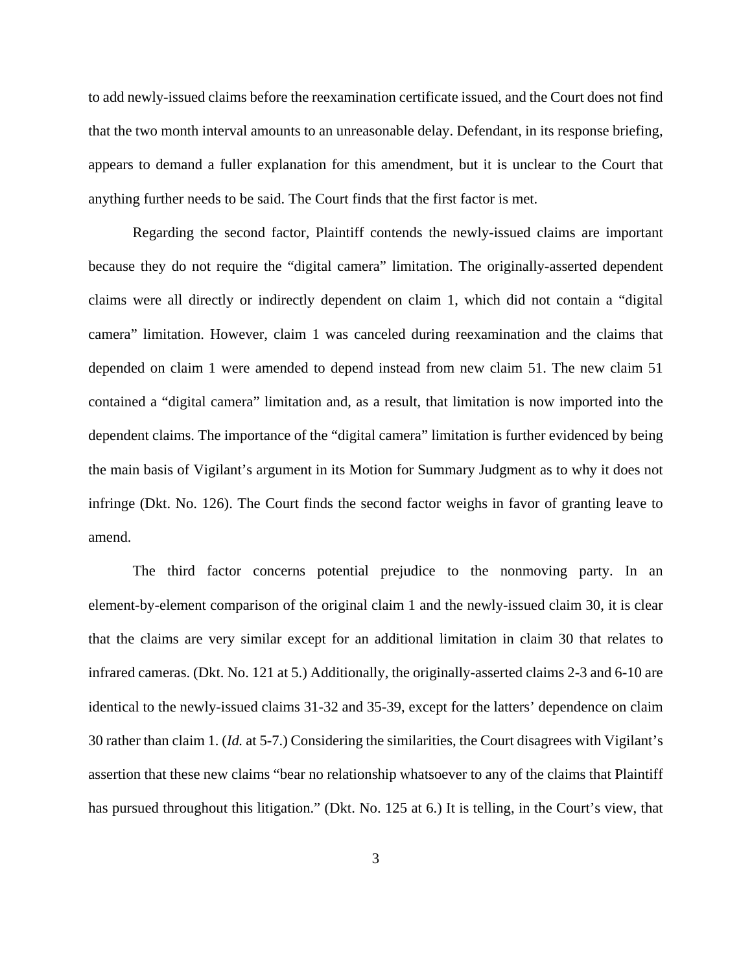to add newly-issued claims before the reexamination certificate issued, and the Court does not find that the two month interval amounts to an unreasonable delay. Defendant, in its response briefing, appears to demand a fuller explanation for this amendment, but it is unclear to the Court that anything further needs to be said. The Court finds that the first factor is met.

Regarding the second factor, Plaintiff contends the newly-issued claims are important because they do not require the "digital camera" limitation. The originally-asserted dependent claims were all directly or indirectly dependent on claim 1, which did not contain a "digital camera" limitation. However, claim 1 was canceled during reexamination and the claims that depended on claim 1 were amended to depend instead from new claim 51. The new claim 51 contained a "digital camera" limitation and, as a result, that limitation is now imported into the dependent claims. The importance of the "digital camera" limitation is further evidenced by being the main basis of Vigilant's argument in its Motion for Summary Judgment as to why it does not infringe (Dkt. No. 126). The Court finds the second factor weighs in favor of granting leave to amend.

The third factor concerns potential prejudice to the nonmoving party. In an element-by-element comparison of the original claim 1 and the newly-issued claim 30, it is clear that the claims are very similar except for an additional limitation in claim 30 that relates to infrared cameras. (Dkt. No. 121 at 5.) Additionally, the originally-asserted claims 2-3 and 6-10 are identical to the newly-issued claims 31-32 and 35-39, except for the latters' dependence on claim 30 rather than claim 1. (*Id.* at 5-7.) Considering the similarities, the Court disagrees with Vigilant's assertion that these new claims "bear no relationship whatsoever to any of the claims that Plaintiff has pursued throughout this litigation." (Dkt. No. 125 at 6.) It is telling, in the Court's view, that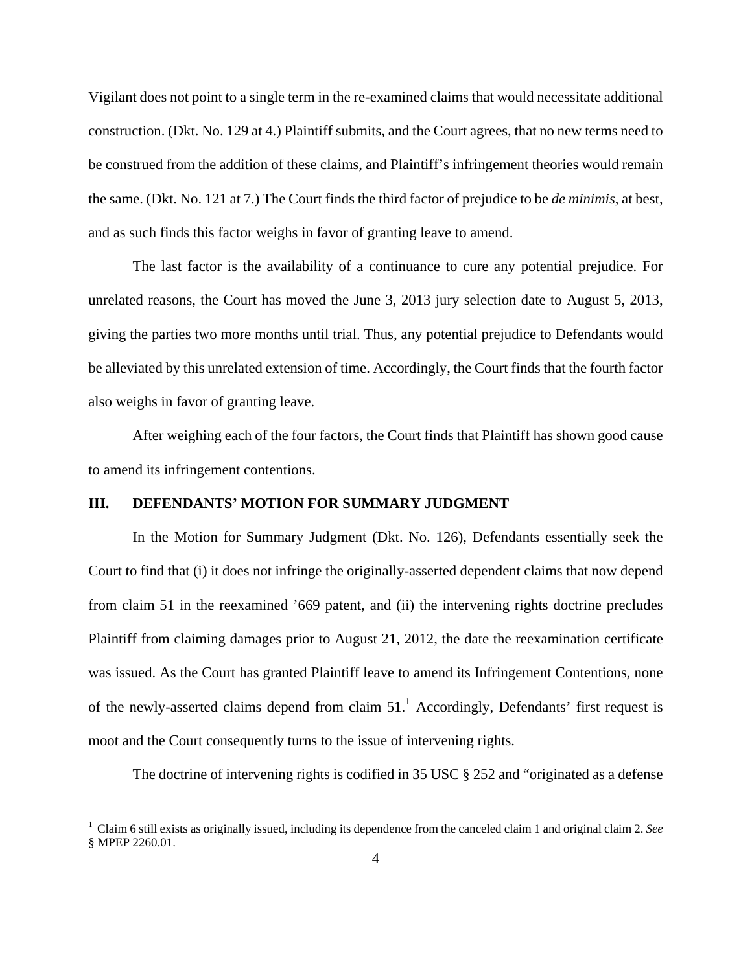Vigilant does not point to a single term in the re-examined claims that would necessitate additional construction. (Dkt. No. 129 at 4.) Plaintiff submits, and the Court agrees, that no new terms need to be construed from the addition of these claims, and Plaintiff's infringement theories would remain the same. (Dkt. No. 121 at 7.) The Court finds the third factor of prejudice to be *de minimis*, at best, and as such finds this factor weighs in favor of granting leave to amend.

The last factor is the availability of a continuance to cure any potential prejudice. For unrelated reasons, the Court has moved the June 3, 2013 jury selection date to August 5, 2013, giving the parties two more months until trial. Thus, any potential prejudice to Defendants would be alleviated by this unrelated extension of time. Accordingly, the Court finds that the fourth factor also weighs in favor of granting leave.

After weighing each of the four factors, the Court finds that Plaintiff has shown good cause to amend its infringement contentions.

### **III. DEFENDANTS' MOTION FOR SUMMARY JUDGMENT**

 $\overline{a}$ 

In the Motion for Summary Judgment (Dkt. No. 126), Defendants essentially seek the Court to find that (i) it does not infringe the originally-asserted dependent claims that now depend from claim 51 in the reexamined '669 patent, and (ii) the intervening rights doctrine precludes Plaintiff from claiming damages prior to August 21, 2012, the date the reexamination certificate was issued. As the Court has granted Plaintiff leave to amend its Infringement Contentions, none of the newly-asserted claims depend from claim  $51<sup>1</sup>$  Accordingly, Defendants' first request is moot and the Court consequently turns to the issue of intervening rights.

The doctrine of intervening rights is codified in 35 USC § 252 and "originated as a defense

<sup>1</sup> Claim 6 still exists as originally issued, including its dependence from the canceled claim 1 and original claim 2. *See* § MPEP 2260.01.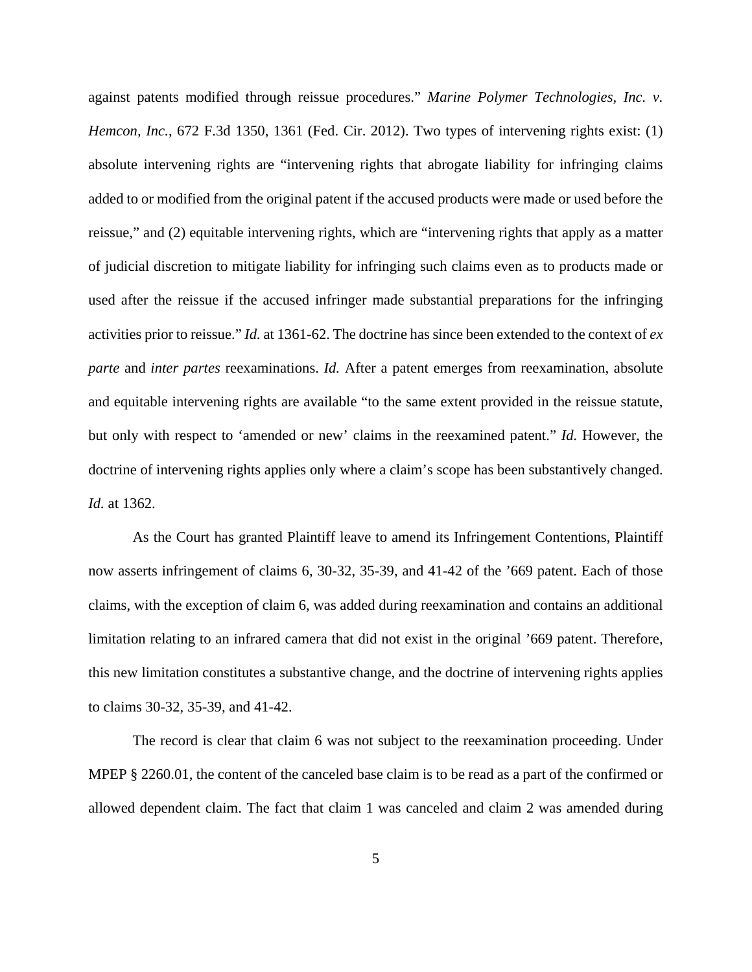against patents modified through reissue procedures." *Marine Polymer Technologies, Inc. v. Hemcon, Inc.*, 672 F.3d 1350, 1361 (Fed. Cir. 2012). Two types of intervening rights exist: (1) absolute intervening rights are "intervening rights that abrogate liability for infringing claims added to or modified from the original patent if the accused products were made or used before the reissue," and (2) equitable intervening rights, which are "intervening rights that apply as a matter of judicial discretion to mitigate liability for infringing such claims even as to products made or used after the reissue if the accused infringer made substantial preparations for the infringing activities prior to reissue." *Id.* at 1361-62. The doctrine has since been extended to the context of *ex parte* and *inter partes* reexaminations. *Id.* After a patent emerges from reexamination, absolute and equitable intervening rights are available "to the same extent provided in the reissue statute, but only with respect to 'amended or new' claims in the reexamined patent." *Id.* However, the doctrine of intervening rights applies only where a claim's scope has been substantively changed. *Id.* at 1362.

As the Court has granted Plaintiff leave to amend its Infringement Contentions, Plaintiff now asserts infringement of claims 6, 30-32, 35-39, and 41-42 of the '669 patent. Each of those claims, with the exception of claim 6, was added during reexamination and contains an additional limitation relating to an infrared camera that did not exist in the original '669 patent. Therefore, this new limitation constitutes a substantive change, and the doctrine of intervening rights applies to claims 30-32, 35-39, and 41-42.

The record is clear that claim 6 was not subject to the reexamination proceeding. Under MPEP § 2260.01, the content of the canceled base claim is to be read as a part of the confirmed or allowed dependent claim. The fact that claim 1 was canceled and claim 2 was amended during